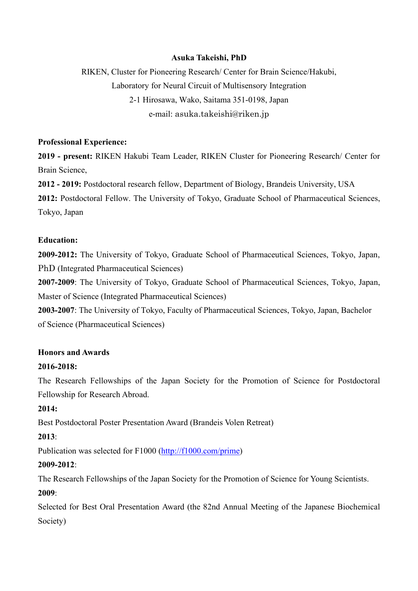# **Asuka Takeishi, PhD**

RIKEN, Cluster for Pioneering Research/ Center for Brain Science/Hakubi, Laboratory for Neural Circuit of Multisensory Integration 2-1 Hirosawa, Wako, Saitama 351-0198, Japan e-mail: asuka.takeishi@riken.jp

### **Professional Experience:**

**2019 - present:** RIKEN Hakubi Team Leader, RIKEN Cluster for Pioneering Research/ Center for Brain Science,

**2012 - 2019:** Postdoctoral research fellow, Department of Biology, Brandeis University, USA **2012:** Postdoctoral Fellow. The University of Tokyo, Graduate School of Pharmaceutical Sciences, Tokyo, Japan

#### **Education:**

**2009-2012:** The University of Tokyo, Graduate School of Pharmaceutical Sciences, Tokyo, Japan, PhD (Integrated Pharmaceutical Sciences)

**2007-2009**: The University of Tokyo, Graduate School of Pharmaceutical Sciences, Tokyo, Japan, Master of Science (Integrated Pharmaceutical Sciences)

**2003-2007**: The University of Tokyo, Faculty of Pharmaceutical Sciences, Tokyo, Japan, Bachelor of Science (Pharmaceutical Sciences)

## **Honors and Awards**

### **2016-2018:**

The Research Fellowships of the Japan Society for the Promotion of Science for Postdoctoral Fellowship for Research Abroad.

## **2014:**

Best Postdoctoral Poster Presentation Award (Brandeis Volen Retreat)

## **2013**:

Publication was selected for F1000 [\(http://f1000.com/prime\)](http://f1000.com/prime)

## **2009-2012**:

The Research Fellowships of the Japan Society for the Promotion of Science for Young Scientists. **2009**:

Selected for Best Oral Presentation Award (the 82nd Annual Meeting of the Japanese Biochemical Society)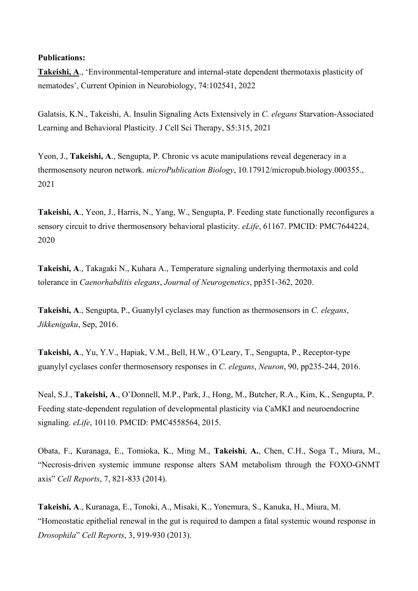## **Publications:**

**Takeishi, A**., 'Environmental-temperature and internal-state dependent thermotaxis plasticity of nematodes', Current Opinion in Neurobiology, 74:102541, 2022

Galatsis, K.N., Takeishi, A. Insulin Signaling Acts Extensively in *C. elegans* Starvation-Associated Learning and Behavioral Plasticity. J Cell Sci Therapy, S5:315, 2021

Yeon, J., **Takeishi, A**., Sengupta, P. Chronic vs acute manipulations reveal degeneracy in a thermosensoty neuron network. *microPublication Biology*, [10.17912/micropub.biology.000355.](https://doi.org/10.17912/micropub.biology.000355), 2021

**Takeishi, A**., Yeon, J., Harris, N., Yang, W., Sengupta, P. Feeding state functionally reconfigures a sensory circuit to drive thermosensory behavioral plasticity. *eLife*, 61167. PMCID: PMC7644224, 2020

**Takeishi, A**., Takagaki N., Kuhara A., Temperature signaling underlying thermotaxis and cold tolerance in *Caenorhabditis elegans*, *Journal of Neurogenetics*, pp351-362, 2020.

**Takeishi, A**., Sengupta, P., Guanylyl cyclases may function as thermosensors in *C. elegans*, *Jikkenigaku*, Sep, 2016.

**Takeishi, A**., Yu, Y.V., Hapiak, V.M., Bell, H.W., O'Leary, T., Sengupta, P., Receptor-type guanylyl cyclases confer thermosensory responses in *C. elegans*, *Neuron*, 90, pp235-244, 2016.

Neal, S.J., **Takeishi, A**., O'Donnell, M.P., Park, J., Hong, M., Butcher, R.A., Kim, K., Sengupta, P. Feeding state-dependent regulation of developmental plasticity via CaMKI and neuroendocrine signaling. *eLife*, 10110. PMCID: PMC4558564, 2015.

Obata, F., Kuranaga, E., Tomioka, K., Ming M., **Takeishi**, **A.**, Chen, C.H., Soga T., Miura, M., "Necrosis-driven systemic immune response alters SAM metabolism through the FOXO-GNMT axis" *Cell Reports*, 7, 821-833 (2014).

**Takeishi, A**., Kuranaga, E., Tonoki, A., Misaki, K., Yonemura, S., Kanuka, H., Miura, M. "Homeostatic epithelial renewal in the gut is required to dampen a fatal systemic wound response in *Drosophila*" *Cell Reports*, 3, 919-930 (2013).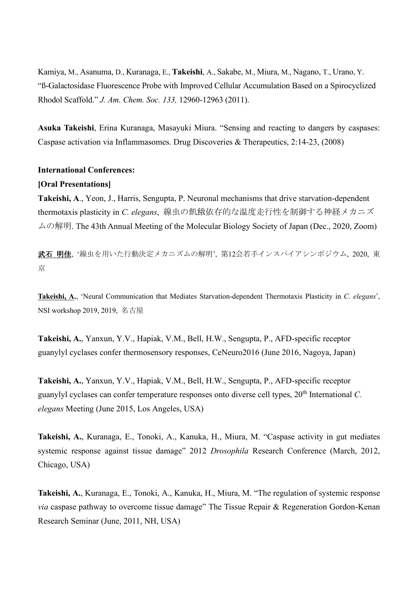Kamiya, M., Asanuma, D., Kuranaga, E., **Takeishi**, A., Sakabe, M., Miura, M., Nagano, T., Urano, Y. "ß-Galactosidase Fluorescence Probe with Improved Cellular Accumulation Based on a Spirocyclized Rhodol Scaffold." *J. Am. Chem. Soc. 133,* 12960-12963 (2011).

**Asuka Takeishi**, Erina Kuranaga, Masayuki Miura. "Sensing and reacting to dangers by caspases: Caspase activation via Inflammasomes. Drug Discoveries & Therapeutics, 2:14-23, (2008)

# **International Conferences:**

## **[Oral Presentations]**

**Takeishi, A**., Yeon, J., Harris, Sengupta, P. Neuronal mechanisms that drive starvation-dependent thermotaxis plasticity in *C. elegans*, 線虫の飢餓依存的な温度走行性を制御する神経メカニズ ムの解明. The 43th Annual Meeting of the Molecular Biology Society of Japan (Dec., 2020, Zoom)

武石 明佳, '線虫を用いた行動決定メカニズムの解明', 第12会若手インスパイアシンポジウム, 2020, 東 京

**Takeishi, A.**, 'Neural Communication that Mediates Starvation-dependent Thermotaxis Plasticity in *C. elegans*', NSI workshop 2019, 2019, 名古屋

**Takeishi, A.**, Yanxun, Y.V., Hapiak, V.M., Bell, H.W., Sengupta, P., AFD-specific receptor guanylyl cyclases confer thermosensory responses, CeNeuro2016 (June 2016, Nagoya, Japan)

**Takeishi, A.**, Yanxun, Y.V., Hapiak, V.M., Bell, H.W., Sengupta, P., AFD-specific receptor guanylyl cyclases can confer temperature responses onto diverse cell types, 20<sup>th</sup> International C. *elegans* Meeting (June 2015, Los Angeles, USA)

**Takeishi, A.**, Kuranaga, E., Tonoki, A., Kanuka, H., Miura, M. "Caspase activity in gut mediates systemic response against tissue damage" 2012 *Drosophila* Research Conference (March, 2012, Chicago, USA)

**Takeishi, A.**, Kuranaga, E., Tonoki, A., Kanuka, H., Miura, M. "The regulation of systemic response *via* caspase pathway to overcome tissue damage" The Tissue Repair & Regeneration Gordon-Kenan Research Seminar (June, 2011, NH, USA)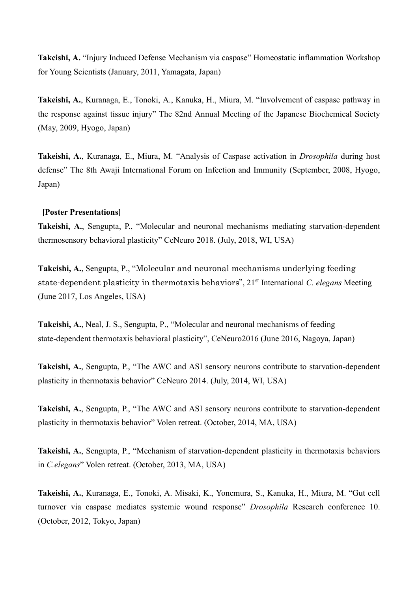**Takeishi, A.** "Injury Induced Defense Mechanism via caspase" Homeostatic inflammation Workshop for Young Scientists (January, 2011, Yamagata, Japan)

**Takeishi, A.**, Kuranaga, E., Tonoki, A., Kanuka, H., Miura, M. "Involvement of caspase pathway in the response against tissue injury" The 82nd Annual Meeting of the Japanese Biochemical Society (May, 2009, Hyogo, Japan)

**Takeishi, A.**, Kuranaga, E., Miura, M. "Analysis of Caspase activation in *Drosophila* during host defense" The 8th Awaji International Forum on Infection and Immunity (September, 2008, Hyogo, Japan)

#### **[Poster Presentations]**

**Takeishi, A.**, Sengupta, P., "Molecular and neuronal mechanisms mediating starvation-dependent thermosensory behavioral plasticity" CeNeuro 2018. (July, 2018, WI, USA)

**Takeishi, A.**, Sengupta, P., "Molecular and neuronal mechanisms underlying feeding state-dependent plasticity in thermotaxis behaviors", 21st International *C. elegans* Meeting (June 2017, Los Angeles, USA)

**Takeishi, A.**, Neal, J. S., Sengupta, P., "Molecular and neuronal mechanisms of feeding state-dependent thermotaxis behavioral plasticity", CeNeuro2016 (June 2016, Nagoya, Japan)

**Takeishi, A.**, Sengupta, P., "The AWC and ASI sensory neurons contribute to starvation-dependent plasticity in thermotaxis behavior" CeNeuro 2014. (July, 2014, WI, USA)

**Takeishi, A.**, Sengupta, P., "The AWC and ASI sensory neurons contribute to starvation-dependent plasticity in thermotaxis behavior" Volen retreat. (October, 2014, MA, USA)

**Takeishi, A.**, Sengupta, P., "Mechanism of starvation-dependent plasticity in thermotaxis behaviors in *C.elegans*" Volen retreat. (October, 2013, MA, USA)

**Takeishi, A.**, Kuranaga, E., Tonoki, A. Misaki, K., Yonemura, S., Kanuka, H., Miura, M. "Gut cell turnover via caspase mediates systemic wound response" *Drosophila* Research conference 10. (October, 2012, Tokyo, Japan)